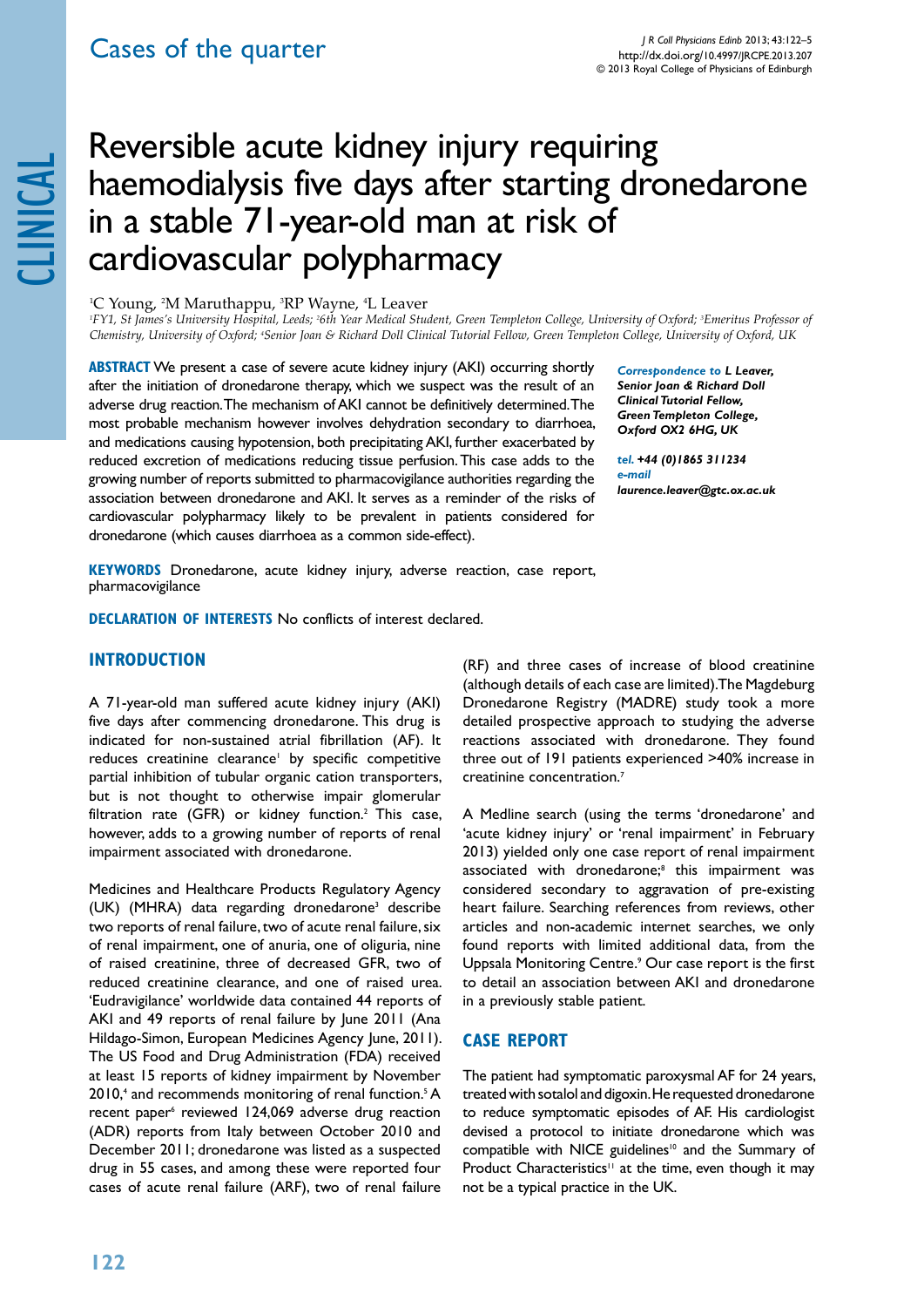# Reversible acute kidney injury requiring<br>haemodialysis five days after starting dro<br>in a stable 71-year-old man at risk of<br>cardiovascular polypharmacy haemodialysis five days after starting dronedarone in a stable 71-year-old man at risk of cardiovascular polypharmacy

<sup>1</sup>C Young, <sup>2</sup>M Maruthappu, <sup>3</sup>RP Wayne, <sup>4</sup>L Leaver

*1 FY1, St James's University Hospital, Leeds; 2 6th Year Medical Student, Green Templeton College, University of Oxford; 3 Emeritus Professor of Chemistry, University of Oxford; 4 Senior Joan & Richard Doll Clinical Tutorial Fellow, Green Templeton College, University of Oxford, UK*

**ABSTRACT** We present a case of severe acute kidney injury (AKI) occurring shortly after the initiation of dronedarone therapy, which we suspect was the result of an adverse drug reaction. The mechanism of AKI cannot be definitively determined. The most probable mechanism however involves dehydration secondary to diarrhoea, and medications causing hypotension, both precipitating AKI, further exacerbated by reduced excretion of medications reducing tissue perfusion. This case adds to the growing number of reports submitted to pharmacovigilance authorities regarding the association between dronedarone and AKI. It serves as a reminder of the risks of cardiovascular polypharmacy likely to be prevalent in patients considered for dronedarone (which causes diarrhoea as a common side-effect).

*Correspondence to L Leaver, Senior Joan & Richard Doll Clinical Tutorial Fellow, Green Templeton College, Oxford OX2 6HG, UK* 

*tel. +44 (0)1865 311234 e-mail laurence.leaver@gtc.ox.ac.uk*

**Keywords** Dronedarone, acute kidney injury, adverse reaction, case report, pharmacovigilance

**DECLARATION OF INTERESTS No conflicts of interest declared.** 

## **Introduction**

A 71-year-old man suffered acute kidney injury (AKI) five days after commencing dronedarone. This drug is indicated for non-sustained atrial fibrillation (AF). It reduces creatinine clearance<sup>1</sup> by specific competitive partial inhibition of tubular organic cation transporters, but is not thought to otherwise impair glomerular filtration rate (GFR) or kidney function.<sup>2</sup> This case, however, adds to a growing number of reports of renal impairment associated with dronedarone.

Medicines and Healthcare Products Regulatory Agency (UK) (MHRA) data regarding dronedarone3 describe two reports of renal failure, two of acute renal failure, six of renal impairment, one of anuria, one of oliguria, nine of raised creatinine, three of decreased GFR, two of reduced creatinine clearance, and one of raised urea. 'Eudravigilance' worldwide data contained 44 reports of AKI and 49 reports of renal failure by June 2011 (Ana Hildago-Simon, European Medicines Agency June, 2011). The US Food and Drug Administration (FDA) received at least 15 reports of kidney impairment by November 2010,<sup>4</sup> and recommends monitoring of renal function.<sup>5</sup> A recent paper<sup>6</sup> reviewed 124,069 adverse drug reaction (ADR) reports from Italy between October 2010 and December 2011; dronedarone was listed as a suspected drug in 55 cases, and among these were reported four cases of acute renal failure (ARF), two of renal failure

(RF) and three cases of increase of blood creatinine (although details of each case are limited). The Magdeburg Dronedarone Registry (MADRE) study took a more detailed prospective approach to studying the adverse reactions associated with dronedarone. They found three out of 191 patients experienced >40% increase in creatinine concentration.7

A Medline search (using the terms 'dronedarone' and 'acute kidney injury' or 'renal impairment' in February 2013) yielded only one case report of renal impairment associated with dronedarone;<sup>8</sup> this impairment was considered secondary to aggravation of pre-existing heart failure. Searching references from reviews, other articles and non-academic internet searches, we only found reports with limited additional data, from the Uppsala Monitoring Centre.<sup>9</sup> Our case report is the first to detail an association between AKI and dronedarone in a previously stable patient.

# **Case report**

The patient had symptomatic paroxysmal AF for 24 years, treated with sotalol and digoxin. He requested dronedarone to reduce symptomatic episodes of AF. His cardiologist devised a protocol to initiate dronedarone which was compatible with NICE guidelines<sup>10</sup> and the Summary of Product Characteristics<sup>11</sup> at the time, even though it may not be a typical practice in the UK.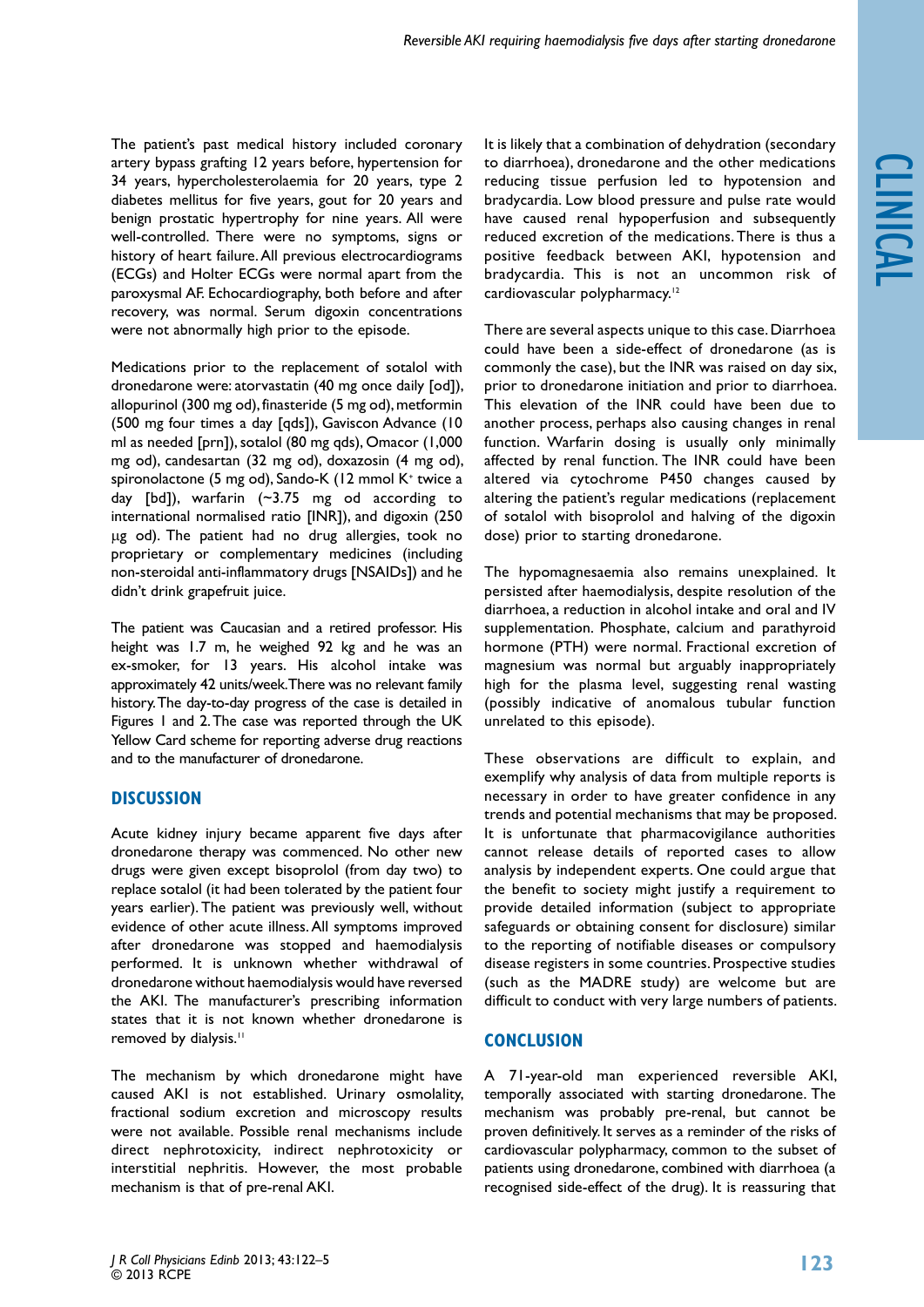The patient's past medical history included coronary artery bypass grafting 12 years before, hypertension for 34 years, hypercholesterolaemia for 20 years, type 2 diabetes mellitus for five years, gout for 20 years and benign prostatic hypertrophy for nine years. All were well-controlled. There were no symptoms, signs or history of heart failure. All previous electrocardiograms (ECGs) and Holter ECGs were normal apart from the paroxysmal AF. Echocardiography, both before and after recovery, was normal. Serum digoxin concentrations were not abnormally high prior to the episode.

Medications prior to the replacement of sotalol with dronedarone were: atorvastatin (40 mg once daily [od]), allopurinol (300 mg od), finasteride (5 mg od), metformin (500 mg four times a day [qds]), Gaviscon Advance (10 ml as needed [prn]), sotalol (80 mg qds), Omacor (1,000 mg od), candesartan (32 mg od), doxazosin (4 mg od), spironolactone (5 mg od), Sando-K (12 mmol K+ twice a day [bd]), warfarin (~3.75 mg od according to international normalised ratio [INR]), and digoxin (250 µg od). The patient had no drug allergies, took no proprietary or complementary medicines (including non-steroidal anti-inflammatory drugs [NSAIDs]) and he didn't drink grapefruit juice.

The patient was Caucasian and a retired professor. His height was 1.7 m, he weighed 92 kg and he was an ex-smoker, for 13 years. His alcohol intake was approximately 42 units/week. There was no relevant family history. The day-to-day progress of the case is detailed in Figures 1 and 2. The case was reported through the UK Yellow Card scheme for reporting adverse drug reactions and to the manufacturer of dronedarone.

# **Discussion**

Acute kidney injury became apparent five days after dronedarone therapy was commenced. No other new drugs were given except bisoprolol (from day two) to replace sotalol (it had been tolerated by the patient four years earlier). The patient was previously well, without evidence of other acute illness. All symptoms improved after dronedarone was stopped and haemodialysis performed. It is unknown whether withdrawal of dronedarone without haemodialysis would have reversed the AKI. The manufacturer's prescribing information states that it is not known whether dronedarone is removed by dialysis.<sup>11</sup>

The mechanism by which dronedarone might have caused AKI is not established. Urinary osmolality, fractional sodium excretion and microscopy results were not available. Possible renal mechanisms include direct nephrotoxicity, indirect nephrotoxicity or interstitial nephritis. However, the most probable mechanism is that of pre-renal AKI.

It is likely that a combination of dehydration (secondary to diarrhoea), dronedarone and the other medications reducing tissue perfusion led to hypotension and bradycardia. Low blood pressure and pulse rate would have caused renal hypoperfusion and subsequently reduced excretion of the medications. There is thus a positive feedback between AKI, hypotension and bradycardia. This is not an uncommon risk of cardiovascular polypharmacy.<sup>12</sup>

There are several aspects unique to this case. Diarrhoea could have been a side-effect of dronedarone (as is commonly the case), but the INR was raised on day six, prior to dronedarone initiation and prior to diarrhoea. This elevation of the INR could have been due to another process, perhaps also causing changes in renal function. Warfarin dosing is usually only minimally affected by renal function. The INR could have been altered via cytochrome P450 changes caused by altering the patient's regular medications (replacement of sotalol with bisoprolol and halving of the digoxin dose) prior to starting dronedarone.

The hypomagnesaemia also remains unexplained. It persisted after haemodialysis, despite resolution of the diarrhoea, a reduction in alcohol intake and oral and IV supplementation. Phosphate, calcium and parathyroid hormone (PTH) were normal. Fractional excretion of magnesium was normal but arguably inappropriately high for the plasma level, suggesting renal wasting (possibly indicative of anomalous tubular function unrelated to this episode).

These observations are difficult to explain, and exemplify why analysis of data from multiple reports is necessary in order to have greater confidence in any trends and potential mechanisms that may be proposed. It is unfortunate that pharmacovigilance authorities cannot release details of reported cases to allow analysis by independent experts. One could argue that the benefit to society might justify a requirement to provide detailed information (subject to appropriate safeguards or obtaining consent for disclosure) similar to the reporting of notifiable diseases or compulsory disease registers in some countries. Prospective studies (such as the MADRE study) are welcome but are difficult to conduct with very large numbers of patients.

# **Conclusion**

A 71-year-old man experienced reversible AKI, temporally associated with starting dronedarone. The mechanism was probably pre-renal, but cannot be proven definitively. It serves as a reminder of the risks of cardiovascular polypharmacy, common to the subset of patients using dronedarone, combined with diarrhoea (a recognised side-effect of the drug). It is reassuring that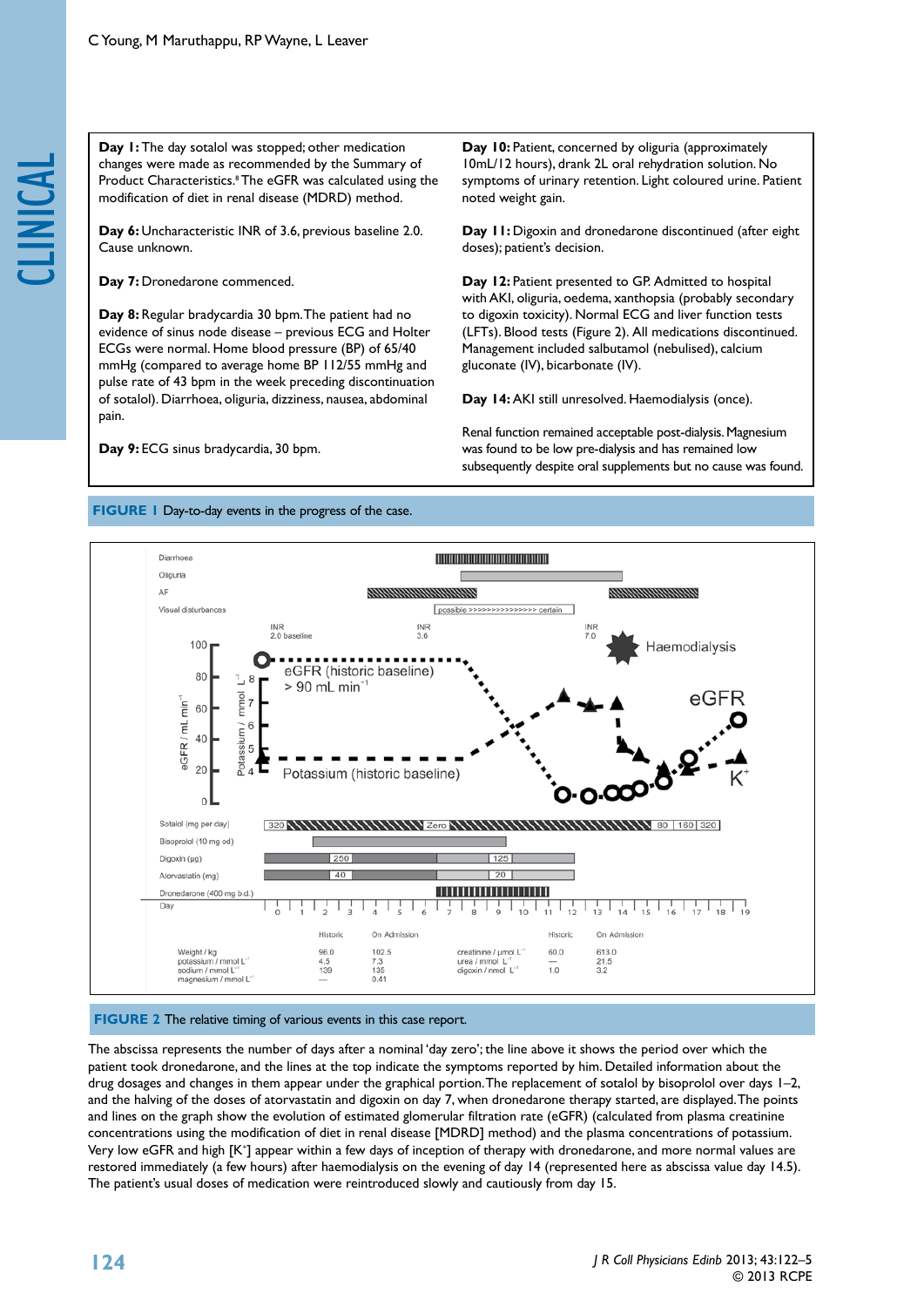Day 1: The day sotalol was stopped; other medication<br>changes were made as recommended by the Summary<br>Product Characteristics.<sup>8</sup> The eGFR was calculated usin<br>modification of diet in renal disease (MDRD) method.<br>Day 6: Unch changes were made as recommended by the Summary of Product Characteristics.<sup>8</sup> The eGFR was calculated using the modification of diet in renal disease (MDRD) method.

Day 6: Uncharacteristic INR of 3.6, previous baseline 2.0. Cause unknown.

Day 7: Dronedarone commenced.

**Day 8:** Regular bradycardia 30 bpm. The patient had no evidence of sinus node disease – previous ECG and Holter ECGs were normal. Home blood pressure (BP) of 65/40 mmHg (compared to average home BP 112/55 mmHg and pulse rate of 43 bpm in the week preceding discontinuation of sotalol). Diarrhoea, oliguria, dizziness, nausea, abdominal pain.

**Day 9:** ECG sinus bradycardia, 30 bpm.

Day 10: Patient, concerned by oliguria (approximately 10mL/12 hours), drank 2L oral rehydration solution. No symptoms of urinary retention. Light coloured urine. Patient noted weight gain.

Day 11: Digoxin and dronedarone discontinued (after eight doses); patient's decision.

Day 12: Patient presented to GP. Admitted to hospital with AKI, oliguria, oedema, xanthopsia (probably secondary to digoxin toxicity). Normal ECG and liver function tests (LFTs). Blood tests (Figure 2). All medications discontinued. Management included salbutamol (nebulised), calcium gluconate (IV), bicarbonate (IV).

**Day 14:** AKI still unresolved. Haemodialysis (once).

Renal function remained acceptable post-dialysis. Magnesium was found to be low pre-dialysis and has remained low subsequently despite oral supplements but no cause was found.

#### **FIGURE 1** Day-to-day events in the progress of the case.



#### **FIGURE 2** The relative timing of various events in this case report.

The abscissa represents the number of days after a nominal 'day zero'; the line above it shows the period over which the patient took dronedarone, and the lines at the top indicate the symptoms reported by him. Detailed information about the drug dosages and changes in them appear under the graphical portion. The replacement of sotalol by bisoprolol over days 1-2, and the halving of the doses of atorvastatin and digoxin on day 7, when dronedarone therapy started, are displayed. The points and lines on the graph show the evolution of estimated glomerular filtration rate (eGFR) (calculated from plasma creatinine concentrations using the modification of diet in renal disease [MDRD] method) and the plasma concentrations of potassium. Very low eGFR and high [K\*] appear within a few days of inception of therapy with dronedarone, and more normal values are restored immediately (a few hours) after haemodialysis on the evening of day 14 (represented here as abscissa value day 14.5). The patient's usual doses of medication were reintroduced slowly and cautiously from day 15.